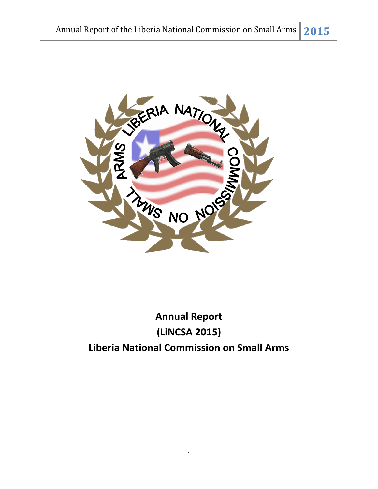

# **Annual Report (LiNCSA 2015) Liberia National Commission on Small Arms**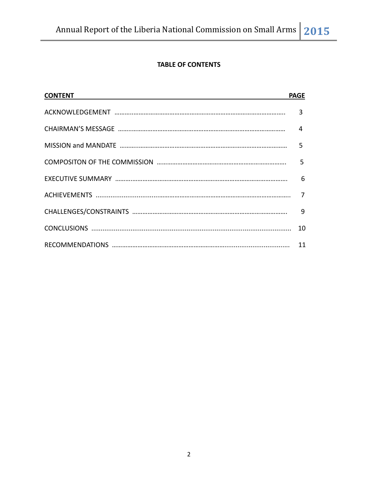# **TABLE OF CONTENTS**

| <b>CONTENT</b> CONTENT | <b>PAGE</b>    |
|------------------------|----------------|
|                        | $\overline{3}$ |
|                        |                |
|                        |                |
|                        |                |
|                        |                |
|                        |                |
|                        |                |
|                        | 10             |
|                        |                |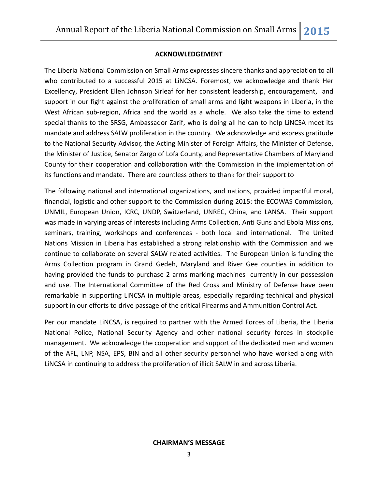#### **ACKNOWLEDGEMENT**

The Liberia National Commission on Small Arms expresses sincere thanks and appreciation to all who contributed to a successful 2015 at LiNCSA. Foremost, we acknowledge and thank Her Excellency, President Ellen Johnson Sirleaf for her consistent leadership, encouragement, and support in our fight against the proliferation of small arms and light weapons in Liberia, in the West African sub-region, Africa and the world as a whole. We also take the time to extend special thanks to the SRSG, Ambassador Zarif, who is doing all he can to help LiNCSA meet its mandate and address SALW proliferation in the country. We acknowledge and express gratitude to the National Security Advisor, the Acting Minister of Foreign Affairs, the Minister of Defense, the Minister of Justice, Senator Zargo of Lofa County, and Representative Chambers of Maryland County for their cooperation and collaboration with the Commission in the implementation of its functions and mandate. There are countless others to thank for their support to

The following national and international organizations, and nations, provided impactful moral, financial, logistic and other support to the Commission during 2015: the ECOWAS Commission, UNMIL, European Union, ICRC, UNDP, Switzerland, UNREC, China, and LANSA. Their support was made in varying areas of interests including Arms Collection, Anti Guns and Ebola Missions, seminars, training, workshops and conferences - both local and international. The United Nations Mission in Liberia has established a strong relationship with the Commission and we continue to collaborate on several SALW related activities. The European Union is funding the Arms Collection program in Grand Gedeh, Maryland and River Gee counties in addition to having provided the funds to purchase 2 arms marking machines currently in our possession and use. The International Committee of the Red Cross and Ministry of Defense have been remarkable in supporting LiNCSA in multiple areas, especially regarding technical and physical support in our efforts to drive passage of the critical Firearms and Ammunition Control Act.

Per our mandate LiNCSA, is required to partner with the Armed Forces of Liberia, the Liberia National Police, National Security Agency and other national security forces in stockpile management. We acknowledge the cooperation and support of the dedicated men and women of the AFL, LNP, NSA, EPS, BIN and all other security personnel who have worked along with LiNCSA in continuing to address the proliferation of illicit SALW in and across Liberia.

#### **CHAIRMAN'S MESSAGE**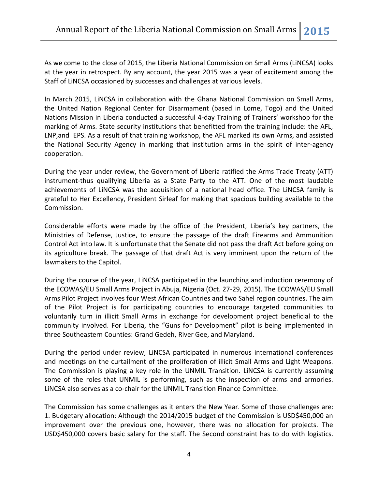As we come to the close of 2015, the Liberia National Commission on Small Arms (LiNCSA) looks at the year in retrospect. By any account, the year 2015 was a year of excitement among the Staff of LiNCSA occasioned by successes and challenges at various levels.

In March 2015, LiNCSA in collaboration with the Ghana National Commission on Small Arms, the United Nation Regional Center for Disarmament (based in Lome, Togo) and the United Nations Mission in Liberia conducted a successful 4-day Training of Trainers' workshop for the marking of Arms. State security institutions that benefitted from the training include: the AFL, LNP,and EPS. As a result of that training workshop, the AFL marked its own Arms, and assisted the National Security Agency in marking that institution arms in the spirit of inter-agency cooperation.

During the year under review, the Government of Liberia ratified the Arms Trade Treaty (ATT) instrument-thus qualifying Liberia as a State Party to the ATT. One of the most laudable achievements of LiNCSA was the acquisition of a national head office. The LiNCSA family is grateful to Her Excellency, President Sirleaf for making that spacious building available to the Commission.

Considerable efforts were made by the office of the President, Liberia's key partners, the Ministries of Defense, Justice, to ensure the passage of the draft Firearms and Ammunition Control Act into law. It is unfortunate that the Senate did not pass the draft Act before going on its agriculture break. The passage of that draft Act is very imminent upon the return of the lawmakers to the Capitol.

During the course of the year, LiNCSA participated in the launching and induction ceremony of the ECOWAS/EU Small Arms Project in Abuja, Nigeria (Oct. 27-29, 2015). The ECOWAS/EU Small Arms Pilot Project involves four West African Countries and two Sahel region countries. The aim of the Pilot Project is for participating countries to encourage targeted communities to voluntarily turn in illicit Small Arms in exchange for development project beneficial to the community involved. For Liberia, the "Guns for Development" pilot is being implemented in three Southeastern Counties: Grand Gedeh, River Gee, and Maryland.

During the period under review, LiNCSA participated in numerous international conferences and meetings on the curtailment of the proliferation of illicit Small Arms and Light Weapons. The Commission is playing a key role in the UNMIL Transition. LiNCSA is currently assuming some of the roles that UNMIL is performing, such as the inspection of arms and armories. LiNCSA also serves as a co-chair for the UNMIL Transition Finance Committee.

The Commission has some challenges as it enters the New Year. Some of those challenges are: 1. Budgetary allocation: Although the 2014/2015 budget of the Commission is USD\$450,000 an improvement over the previous one, however, there was no allocation for projects. The USD\$450,000 covers basic salary for the staff. The Second constraint has to do with logistics.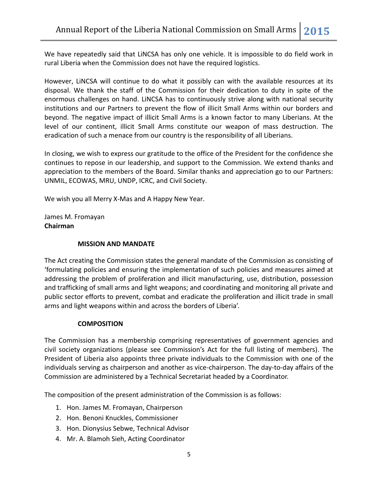We have repeatedly said that LiNCSA has only one vehicle. It is impossible to do field work in rural Liberia when the Commission does not have the required logistics.

However, LiNCSA will continue to do what it possibly can with the available resources at its disposal. We thank the staff of the Commission for their dedication to duty in spite of the enormous challenges on hand. LiNCSA has to continuously strive along with national security institutions and our Partners to prevent the flow of illicit Small Arms within our borders and beyond. The negative impact of illicit Small Arms is a known factor to many Liberians. At the level of our continent, illicit Small Arms constitute our weapon of mass destruction. The eradication of such a menace from our country is the responsibility of all Liberians.

In closing, we wish to express our gratitude to the office of the President for the confidence she continues to repose in our leadership, and support to the Commission. We extend thanks and appreciation to the members of the Board. Similar thanks and appreciation go to our Partners: UNMIL, ECOWAS, MRU, UNDP, ICRC, and Civil Society.

We wish you all Merry X-Mas and A Happy New Year.

James M. Fromayan **Chairman**

#### **MISSION AND MANDATE**

The Act creating the Commission states the general mandate of the Commission as consisting of 'formulating policies and ensuring the implementation of such policies and measures aimed at addressing the problem of proliferation and illicit manufacturing, use, distribution, possession and trafficking of small arms and light weapons; and coordinating and monitoring all private and public sector efforts to prevent, combat and eradicate the proliferation and illicit trade in small arms and light weapons within and across the borders of Liberia'.

## **COMPOSITION**

The Commission has a membership comprising representatives of government agencies and civil society organizations (please see Commission's Act for the full listing of members). The President of Liberia also appoints three private individuals to the Commission with one of the individuals serving as chairperson and another as vice-chairperson. The day-to-day affairs of the Commission are administered by a Technical Secretariat headed by a Coordinator.

The composition of the present administration of the Commission is as follows:

- 1. Hon. James M. Fromayan, Chairperson
- 2. Hon. Benoni Knuckles, Commissioner
- 3. Hon. Dionysius Sebwe, Technical Advisor
- 4. Mr. A. Blamoh Sieh, Acting Coordinator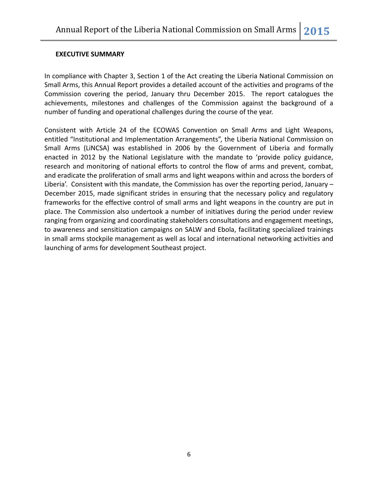#### **EXECUTIVE SUMMARY**

In compliance with Chapter 3, Section 1 of the Act creating the Liberia National Commission on Small Arms, this Annual Report provides a detailed account of the activities and programs of the Commission covering the period, January thru December 2015. The report catalogues the achievements, milestones and challenges of the Commission against the background of a number of funding and operational challenges during the course of the year.

Consistent with Article 24 of the ECOWAS Convention on Small Arms and Light Weapons, entitled "Institutional and Implementation Arrangements", the Liberia National Commission on Small Arms (LiNCSA) was established in 2006 by the Government of Liberia and formally enacted in 2012 by the National Legislature with the mandate to 'provide policy guidance, research and monitoring of national efforts to control the flow of arms and prevent, combat, and eradicate the proliferation of small arms and light weapons within and across the borders of Liberia'. Consistent with this mandate, the Commission has over the reporting period, January – December 2015, made significant strides in ensuring that the necessary policy and regulatory frameworks for the effective control of small arms and light weapons in the country are put in place. The Commission also undertook a number of initiatives during the period under review ranging from organizing and coordinating stakeholders consultations and engagement meetings, to awareness and sensitization campaigns on SALW and Ebola, facilitating specialized trainings in small arms stockpile management as well as local and international networking activities and launching of arms for development Southeast project.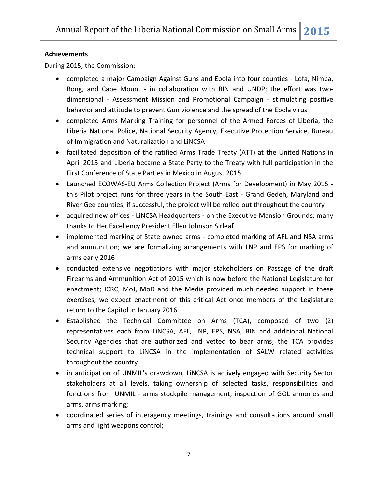### **Achievements**

During 2015, the Commission:

- completed a major Campaign Against Guns and Ebola into four counties Lofa, Nimba, Bong, and Cape Mount - in collaboration with BIN and UNDP; the effort was twodimensional - Assessment Mission and Promotional Campaign - stimulating positive behavior and attitude to prevent Gun violence and the spread of the Ebola virus
- completed Arms Marking Training for personnel of the Armed Forces of Liberia, the Liberia National Police, National Security Agency, Executive Protection Service, Bureau of Immigration and Naturalization and LiNCSA
- facilitated deposition of the ratified Arms Trade Treaty (ATT) at the United Nations in April 2015 and Liberia became a State Party to the Treaty with full participation in the First Conference of State Parties in Mexico in August 2015
- Launched ECOWAS-EU Arms Collection Project (Arms for Development) in May 2015 this Pilot project runs for three years in the South East - Grand Gedeh, Maryland and River Gee counties; if successful, the project will be rolled out throughout the country
- acquired new offices LiNCSA Headquarters on the Executive Mansion Grounds; many thanks to Her Excellency President Ellen Johnson Sirleaf
- implemented marking of State owned arms completed marking of AFL and NSA arms and ammunition; we are formalizing arrangements with LNP and EPS for marking of arms early 2016
- conducted extensive negotiations with major stakeholders on Passage of the draft Firearms and Ammunition Act of 2015 which is now before the National Legislature for enactment; ICRC, MoJ, MoD and the Media provided much needed support in these exercises; we expect enactment of this critical Act once members of the Legislature return to the Capitol in January 2016
- Established the Technical Committee on Arms (TCA), composed of two (2) representatives each from LiNCSA, AFL, LNP, EPS, NSA, BIN and additional National Security Agencies that are authorized and vetted to bear arms; the TCA provides technical support to LiNCSA in the implementation of SALW related activities throughout the country
- in anticipation of UNMIL's drawdown, LiNCSA is actively engaged with Security Sector stakeholders at all levels, taking ownership of selected tasks, responsibilities and functions from UNMIL - arms stockpile management, inspection of GOL armories and arms, arms marking;
- coordinated series of interagency meetings, trainings and consultations around small arms and light weapons control;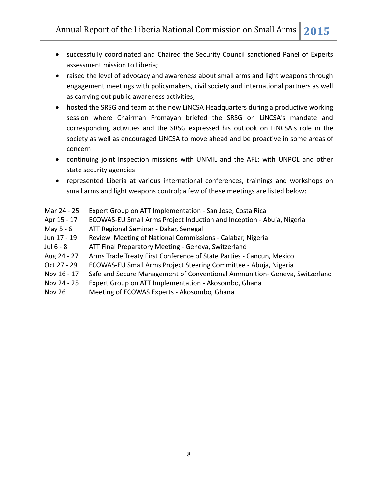- successfully coordinated and Chaired the Security Council sanctioned Panel of Experts assessment mission to Liberia;
- raised the level of advocacy and awareness about small arms and light weapons through engagement meetings with policymakers, civil society and international partners as well as carrying out public awareness activities;
- hosted the SRSG and team at the new LiNCSA Headquarters during a productive working session where Chairman Fromayan briefed the SRSG on LiNCSA's mandate and corresponding activities and the SRSG expressed his outlook on LiNCSA's role in the society as well as encouraged LiNCSA to move ahead and be proactive in some areas of concern
- continuing joint Inspection missions with UNMIL and the AFL; with UNPOL and other state security agencies
- represented Liberia at various international conferences, trainings and workshops on small arms and light weapons control; a few of these meetings are listed below:
- Mar 24 25 Expert Group on ATT Implementation San Jose, Costa Rica
- Apr 15 17 ECOWAS-EU Small Arms Project Induction and Inception Abuja, Nigeria
- May 5 6 ATT Regional Seminar Dakar, Senegal
- Jun 17 19 Review Meeting of National Commissions Calabar, Nigeria
- Jul 6 8 ATT Final Preparatory Meeting Geneva, Switzerland
- Aug 24 27 Arms Trade Treaty First Conference of State Parties Cancun, Mexico
- Oct 27 29 ECOWAS-EU Small Arms Project Steering Committee Abuja, Nigeria
- Nov 16 17 Safe and Secure Management of Conventional Ammunition- Geneva, Switzerland
- Nov 24 25 Expert Group on ATT Implementation Akosombo, Ghana
- Nov 26 Meeting of ECOWAS Experts Akosombo, Ghana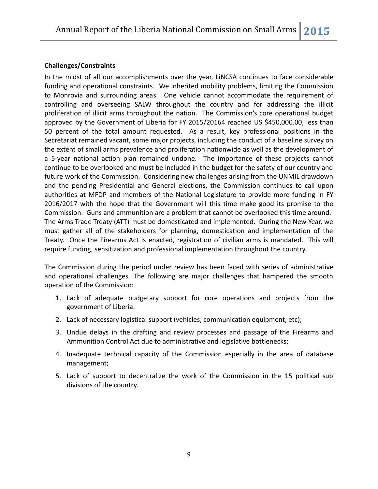#### **Challenges/Constraints**

In the midst of all our accomplishments over the year, LiNCSA continues to face considerable funding and operational constraints. We inherited mobility problems, limiting the Commission to Monrovia and surrounding areas. One vehicle cannot accommodate the requirement of controlling and overseeing SALW throughout the country and for addressing the illicit proliferation of illicit arms throughout the nation. The Commission's core operational budget approved by the Government of Liberia for FY 2015/20164 reached US \$450,000.00, less than 50 percent of the total amount requested. As a result, key professional positions in the Secretariat remained vacant, some major projects, including the conduct of a baseline survey on the extent of small arms prevalence and proliferation nationwide as well as the development of a 5-year national action plan remained undone. The importance of these projects cannot continue to be overlooked and must be included in the budget for the safety of our country and future work of the Commission. Considering new challenges arising from the UNMIL drawdown and the pending Presidential and General elections, the Commission continues to call upon authorities at MFDP and members of the National Legislature to provide more funding in FY 2016/2017 with the hope that the Government will this time make good its promise to the Commission. Guns and ammunition are a problem that cannot be overlooked this time around. The Arms Trade Treaty (ATT) must be domesticated and implemented. During the New Year, we must gather all of the stakeholders for planning, domestication and implementation of the Treaty. Once the Firearms Act is enacted, registration of civilian arms is mandated. This will require funding, sensitization and professional implementation throughout the country.

The Commission during the period under review has been faced with series of administrative and operational challenges. The following are major challenges that hampered the smooth operation of the Commission:

- 1. Lack of adequate budgetary support for core operations and projects from the government of Liberia.
- 2. Lack of necessary logistical support (vehicles, communication equipment, etc);
- 3. Undue delays in the drafting and review processes and passage of the Firearms and Ammunition Control Act due to administrative and legislative bottlenecks;
- 4. Inadequate technical capacity of the Commission especially in the area of database management;
- 5. Lack of support to decentralize the work of the Commission in the 15 political sub divisions of the country.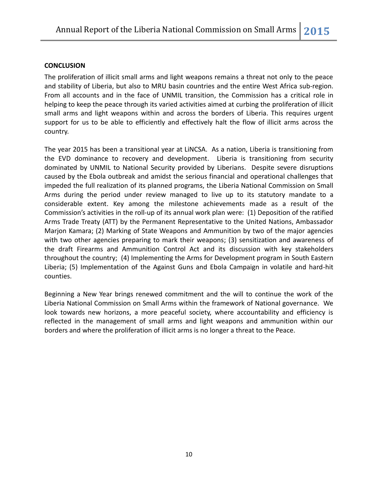#### **CONCLUSION**

The proliferation of illicit small arms and light weapons remains a threat not only to the peace and stability of Liberia, but also to MRU basin countries and the entire West Africa sub-region. From all accounts and in the face of UNMIL transition, the Commission has a critical role in helping to keep the peace through its varied activities aimed at curbing the proliferation of illicit small arms and light weapons within and across the borders of Liberia. This requires urgent support for us to be able to efficiently and effectively halt the flow of illicit arms across the country.

The year 2015 has been a transitional year at LiNCSA. As a nation, Liberia is transitioning from the EVD dominance to recovery and development. Liberia is transitioning from security dominated by UNMIL to National Security provided by Liberians. Despite severe disruptions caused by the Ebola outbreak and amidst the serious financial and operational challenges that impeded the full realization of its planned programs, the Liberia National Commission on Small Arms during the period under review managed to live up to its statutory mandate to a considerable extent. Key among the milestone achievements made as a result of the Commission's activities in the roll-up of its annual work plan were: (1) Deposition of the ratified Arms Trade Treaty (ATT) by the Permanent Representative to the United Nations, Ambassador Marjon Kamara; (2) Marking of State Weapons and Ammunition by two of the major agencies with two other agencies preparing to mark their weapons; (3) sensitization and awareness of the draft Firearms and Ammunition Control Act and its discussion with key stakeholders throughout the country; (4) Implementing the Arms for Development program in South Eastern Liberia; (5) Implementation of the Against Guns and Ebola Campaign in volatile and hard-hit counties.

Beginning a New Year brings renewed commitment and the will to continue the work of the Liberia National Commission on Small Arms within the framework of National governance. We look towards new horizons, a more peaceful society, where accountability and efficiency is reflected in the management of small arms and light weapons and ammunition within our borders and where the proliferation of illicit arms is no longer a threat to the Peace.